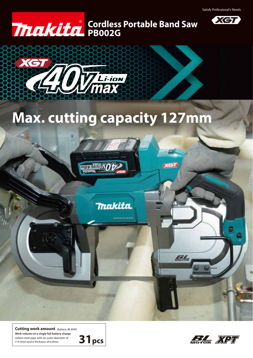

## **PB002G Cordless Portable Band Saw**



**WOP** <u>viivuu</u>

# **Max. cutting capacity 127mm**

**Thakita** 

**XGT** 

BL

Cutting work amount Battery: BL4040 carbon steel pipe with an outer diameter of 114.3mm and a thickness of 6.0mm **Work volume on a single full battery charge**